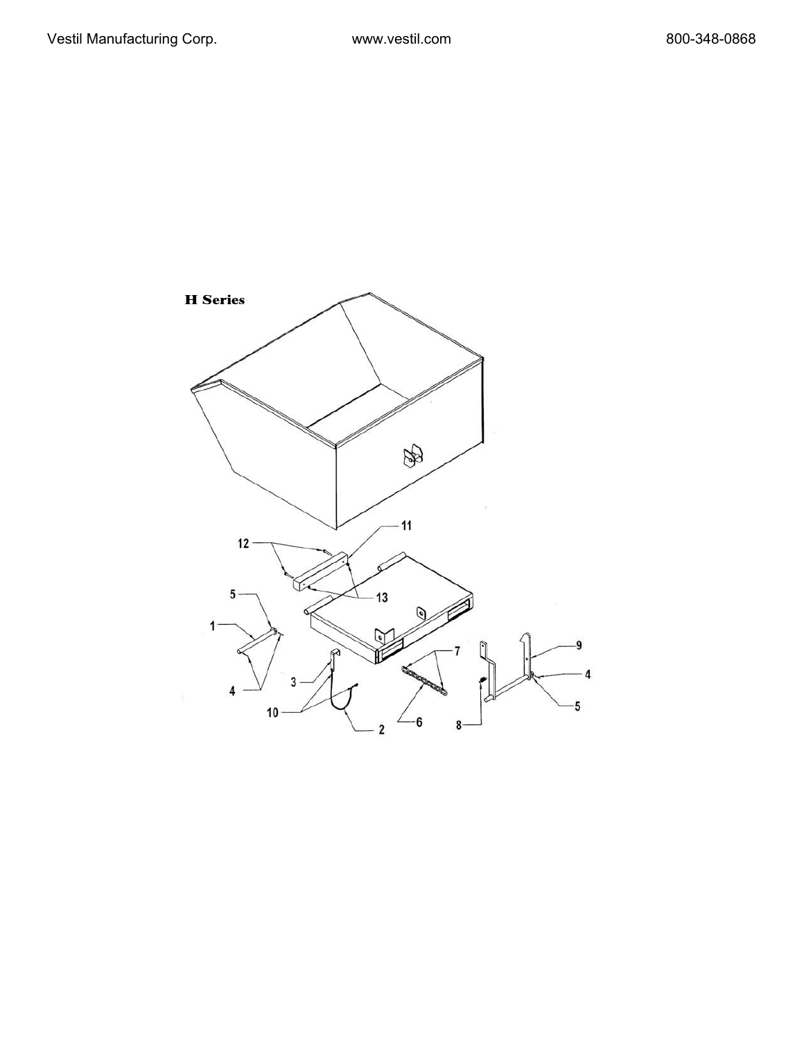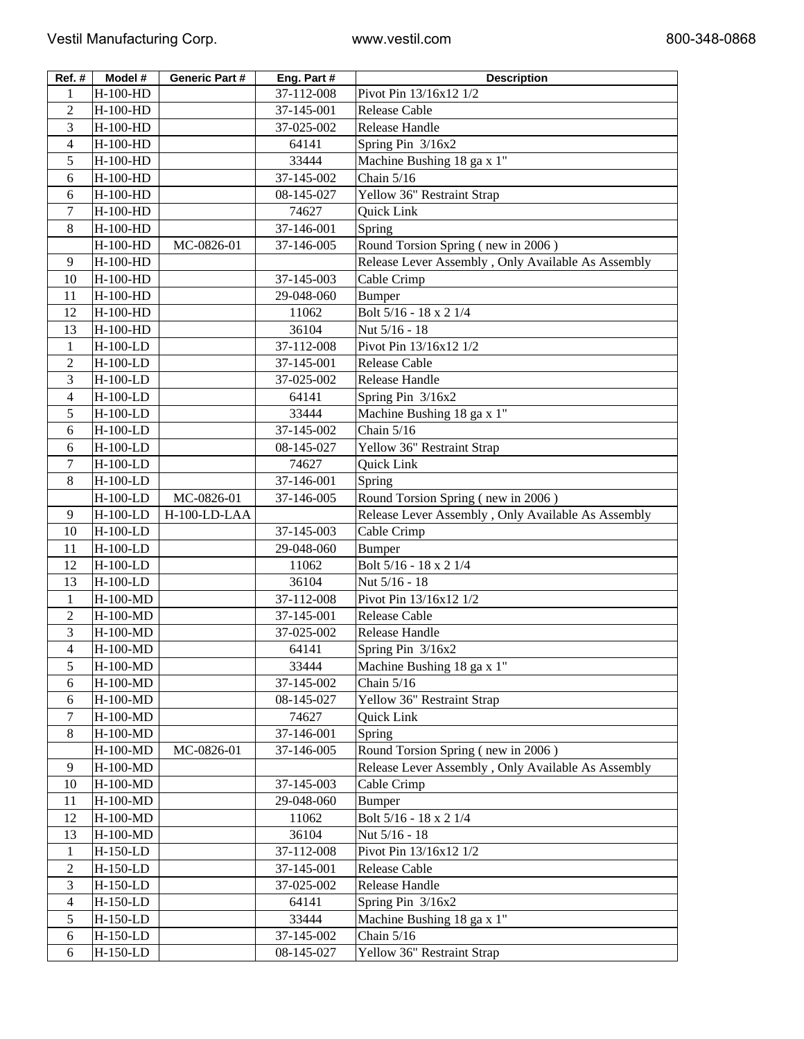| Ref.#                    | Model #    | <b>Generic Part #</b> | Eng. Part # | <b>Description</b>                                 |
|--------------------------|------------|-----------------------|-------------|----------------------------------------------------|
| 1                        | H-100-HD   |                       | 37-112-008  | Pivot Pin 13/16x12 1/2                             |
| 2                        | H-100-HD   |                       | 37-145-001  | <b>Release Cable</b>                               |
| 3                        | H-100-HD   |                       | 37-025-002  | Release Handle                                     |
| 4                        | H-100-HD   |                       | 64141       | Spring Pin 3/16x2                                  |
| 5                        | H-100-HD   |                       | 33444       | Machine Bushing 18 ga x 1"                         |
| 6                        | H-100-HD   |                       | 37-145-002  | Chain $5/16$                                       |
| 6                        | H-100-HD   |                       | 08-145-027  | Yellow 36" Restraint Strap                         |
| 7                        | H-100-HD   |                       | 74627       | Quick Link                                         |
| 8                        | H-100-HD   |                       | 37-146-001  | Spring                                             |
|                          | H-100-HD   | MC-0826-01            | 37-146-005  | Round Torsion Spring (new in 2006)                 |
| 9                        | H-100-HD   |                       |             | Release Lever Assembly, Only Available As Assembly |
| 10                       | H-100-HD   |                       | 37-145-003  | Cable Crimp                                        |
| 11                       | H-100-HD   |                       | 29-048-060  | <b>Bumper</b>                                      |
| 12                       | H-100-HD   |                       | 11062       | Bolt 5/16 - 18 x 2 1/4                             |
| 13                       | H-100-HD   |                       | 36104       | Nut 5/16 - 18                                      |
| $\mathbf{1}$             | H-100-LD   |                       | 37-112-008  | Pivot Pin 13/16x12 1/2                             |
| $\overline{2}$           | $H-100-LD$ |                       | 37-145-001  | <b>Release Cable</b>                               |
| 3                        | H-100-LD   |                       | 37-025-002  | <b>Release Handle</b>                              |
| 4                        | H-100-LD   |                       | 64141       | Spring Pin 3/16x2                                  |
| 5                        | H-100-LD   |                       | 33444       | Machine Bushing 18 ga x 1"                         |
| 6                        | H-100-LD   |                       | 37-145-002  | Chain $5/16$                                       |
| 6                        | H-100-LD   |                       | 08-145-027  | Yellow 36" Restraint Strap                         |
| 7                        | H-100-LD   |                       | 74627       | Quick Link                                         |
| 8                        | H-100-LD   |                       | 37-146-001  | Spring                                             |
|                          | H-100-LD   | MC-0826-01            | 37-146-005  | Round Torsion Spring (new in 2006)                 |
| 9                        | H-100-LD   | H-100-LD-LAA          |             | Release Lever Assembly, Only Available As Assembly |
| 10                       | H-100-LD   |                       | 37-145-003  | Cable Crimp                                        |
| 11                       | H-100-LD   |                       | 29-048-060  | <b>Bumper</b>                                      |
| 12                       | H-100-LD   |                       | 11062       | Bolt 5/16 - 18 x 2 1/4                             |
| 13                       | H-100-LD   |                       | 36104       | Nut 5/16 - 18                                      |
| 1                        | H-100-MD   |                       | 37-112-008  | Pivot Pin 13/16x12 1/2                             |
| $\overline{c}$           | H-100-MD   |                       | 37-145-001  | <b>Release Cable</b>                               |
| 3                        | H-100-MD   |                       | 37-025-002  | Release Handle                                     |
| $\overline{\mathcal{L}}$ | H-100-MD   |                       | 64141       | Spring Pin 3/16x2                                  |
| 5                        | H-100-MD   |                       | 33444       | Machine Bushing 18 ga x 1"                         |
| 6                        | H-100-MD   |                       | 37-145-002  | Chain 5/16                                         |
| 6                        | H-100-MD   |                       | 08-145-027  | Yellow 36" Restraint Strap                         |
| 7                        | H-100-MD   |                       | 74627       | Quick Link                                         |
| 8                        | H-100-MD   |                       | 37-146-001  | Spring                                             |
|                          |            |                       |             | Round Torsion Spring (new in 2006)                 |
|                          | H-100-MD   | MC-0826-01            | 37-146-005  |                                                    |
| 9                        | H-100-MD   |                       |             | Release Lever Assembly, Only Available As Assembly |
| 10                       | H-100-MD   |                       | 37-145-003  | Cable Crimp                                        |
| 11                       | H-100-MD   |                       | 29-048-060  | <b>Bumper</b>                                      |
| 12                       | H-100-MD   |                       | 11062       | Bolt 5/16 - 18 x 2 1/4                             |
| 13                       | H-100-MD   |                       | 36104       | Nut 5/16 - 18                                      |
| 1                        | H-150-LD   |                       | 37-112-008  | Pivot Pin 13/16x12 1/2                             |
| 2                        | H-150-LD   |                       | 37-145-001  | Release Cable                                      |
| 3                        | H-150-LD   |                       | 37-025-002  | Release Handle                                     |
| 4                        | H-150-LD   |                       | 64141       | Spring Pin 3/16x2                                  |
| 5                        | H-150-LD   |                       | 33444       | Machine Bushing 18 ga x 1"                         |
| 6                        | H-150-LD   |                       | 37-145-002  | Chain $5/16$                                       |
| 6                        | H-150-LD   |                       | 08-145-027  | Yellow 36" Restraint Strap                         |